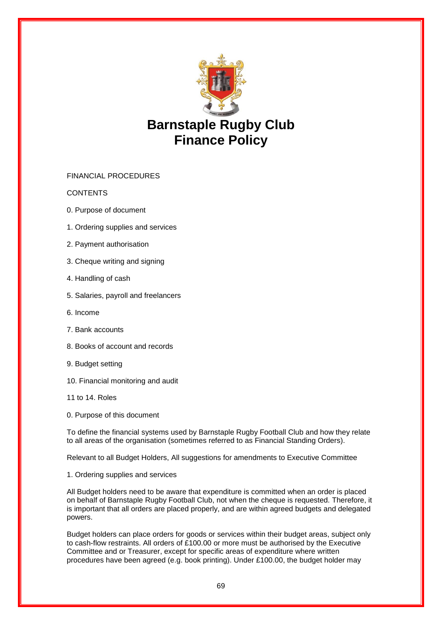

# **Barnstaple Rugby Club Finance Policy**

FINANCIAL PROCEDURES

**CONTENTS** 

- 0. Purpose of document
- 1. Ordering supplies and services
- 2. Payment authorisation
- 3. Cheque writing and signing
- 4. Handling of cash
- 5. Salaries, payroll and freelancers
- 6. Income
- 7. Bank accounts
- 8. Books of account and records
- 9. Budget setting
- 10. Financial monitoring and audit
- 11 to 14. Roles
- 0. Purpose of this document

To define the financial systems used by Barnstaple Rugby Football Club and how they relate to all areas of the organisation (sometimes referred to as Financial Standing Orders).

Relevant to all Budget Holders, All suggestions for amendments to Executive Committee

1. Ordering supplies and services

All Budget holders need to be aware that expenditure is committed when an order is placed on behalf of Barnstaple Rugby Football Club, not when the cheque is requested. Therefore, it is important that all orders are placed properly, and are within agreed budgets and delegated powers.

Budget holders can place orders for goods or services within their budget areas, subject only to cash-flow restraints. All orders of £100.00 or more must be authorised by the Executive Committee and or Treasurer, except for specific areas of expenditure where written procedures have been agreed (e.g. book printing). Under £100.00, the budget holder may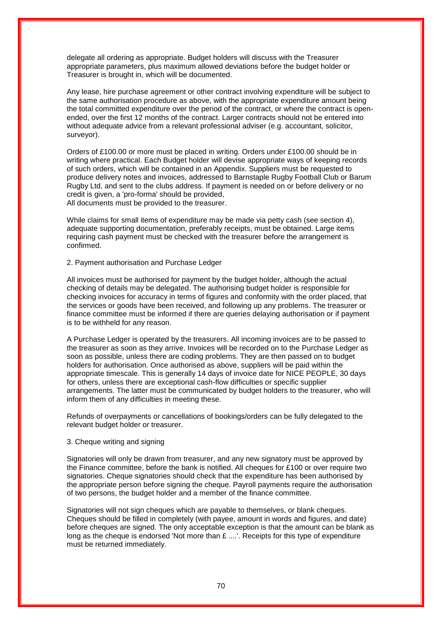delegate all ordering as appropriate. Budget holders will discuss with the Treasurer appropriate parameters, plus maximum allowed deviations before the budget holder or Treasurer is brought in, which will be documented.

Any lease, hire purchase agreement or other contract involving expenditure will be subject to the same authorisation procedure as above, with the appropriate expenditure amount being the total committed expenditure over the period of the contract, or where the contract is openended, over the first 12 months of the contract. Larger contracts should not be entered into without adequate advice from a relevant professional adviser (e.g. accountant, solicitor, surveyor).

Orders of £100.00 or more must be placed in writing. Orders under £100.00 should be in writing where practical. Each Budget holder will devise appropriate ways of keeping records of such orders, which will be contained in an Appendix. Suppliers must be requested to produce delivery notes and invoices, addressed to Barnstaple Rugby Football Club or Barum Rugby Ltd, and sent to the clubs address. If payment is needed on or before delivery or no credit is given, a 'pro-forma' should be provided, All documents must be provided to the treasurer.

While claims for small items of expenditure may be made via petty cash (see section 4), adequate supporting documentation, preferably receipts, must be obtained. Large items requiring cash payment must be checked with the treasurer before the arrangement is confirmed.

2. Payment authorisation and Purchase Ledger

All invoices must be authorised for payment by the budget holder, although the actual checking of details may be delegated. The authorising budget holder is responsible for checking invoices for accuracy in terms of figures and conformity with the order placed, that the services or goods have been received, and following up any problems. The treasurer or finance committee must be informed if there are queries delaying authorisation or if payment is to be withheld for any reason.

A Purchase Ledger is operated by the treasurers. All incoming invoices are to be passed to the treasurer as soon as they arrive. Invoices will be recorded on to the Purchase Ledger as soon as possible, unless there are coding problems. They are then passed on to budget holders for authorisation. Once authorised as above, suppliers will be paid within the appropriate timescale. This is generally 14 days of invoice date for NICE PEOPLE, 30 days for others, unless there are exceptional cash-flow difficulties or specific supplier arrangements. The latter must be communicated by budget holders to the treasurer, who will inform them of any difficulties in meeting these.

Refunds of overpayments or cancellations of bookings/orders can be fully delegated to the relevant budget holder or treasurer.

## 3. Cheque writing and signing

Signatories will only be drawn from treasurer, and any new signatory must be approved by the Finance committee, before the bank is notified. All cheques for £100 or over require two signatories. Cheque signatories should check that the expenditure has been authorised by the appropriate person before signing the cheque. Payroll payments require the authorisation of two persons, the budget holder and a member of the finance committee.

Signatories will not sign cheques which are payable to themselves, or blank cheques. Cheques should be filled in completely (with payee, amount in words and figures, and date) before cheques are signed. The only acceptable exception is that the amount can be blank as long as the cheque is endorsed 'Not more than £ ....'. Receipts for this type of expenditure must be returned immediately.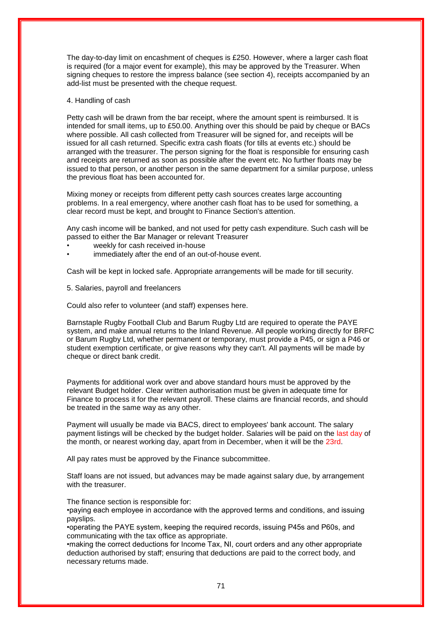The day-to-day limit on encashment of cheques is £250. However, where a larger cash float is required (for a major event for example), this may be approved by the Treasurer. When signing cheques to restore the impress balance (see section 4), receipts accompanied by an add-list must be presented with the cheque request.

## 4. Handling of cash

Petty cash will be drawn from the bar receipt, where the amount spent is reimbursed. It is intended for small items, up to £50.00. Anything over this should be paid by cheque or BACs where possible. All cash collected from Treasurer will be signed for, and receipts will be issued for all cash returned. Specific extra cash floats (for tills at events etc.) should be arranged with the treasurer. The person signing for the float is responsible for ensuring cash and receipts are returned as soon as possible after the event etc. No further floats may be issued to that person, or another person in the same department for a similar purpose, unless the previous float has been accounted for.

Mixing money or receipts from different petty cash sources creates large accounting problems. In a real emergency, where another cash float has to be used for something, a clear record must be kept, and brought to Finance Section's attention.

Any cash income will be banked, and not used for petty cash expenditure. Such cash will be passed to either the Bar Manager or relevant Treasurer

- weekly for cash received in-house
- immediately after the end of an out-of-house event.

Cash will be kept in locked safe. Appropriate arrangements will be made for till security.

5. Salaries, payroll and freelancers

Could also refer to volunteer (and staff) expenses here.

Barnstaple Rugby Football Club and Barum Rugby Ltd are required to operate the PAYE system, and make annual returns to the Inland Revenue. All people working directly for BRFC or Barum Rugby Ltd, whether permanent or temporary, must provide a P45, or sign a P46 or student exemption certificate, or give reasons why they can't. All payments will be made by cheque or direct bank credit.

Payments for additional work over and above standard hours must be approved by the relevant Budget holder. Clear written authorisation must be given in adequate time for Finance to process it for the relevant payroll. These claims are financial records, and should be treated in the same way as any other.

Payment will usually be made via BACS, direct to employees' bank account. The salary payment listings will be checked by the budget holder. Salaries will be paid on the last day of the month, or nearest working day, apart from in December, when it will be the 23rd.

All pay rates must be approved by the Finance subcommittee.

Staff loans are not issued, but advances may be made against salary due, by arrangement with the treasurer.

The finance section is responsible for:

•paying each employee in accordance with the approved terms and conditions, and issuing payslips.

•operating the PAYE system, keeping the required records, issuing P45s and P60s, and communicating with the tax office as appropriate.

•making the correct deductions for Income Tax, NI, court orders and any other appropriate deduction authorised by staff; ensuring that deductions are paid to the correct body, and necessary returns made.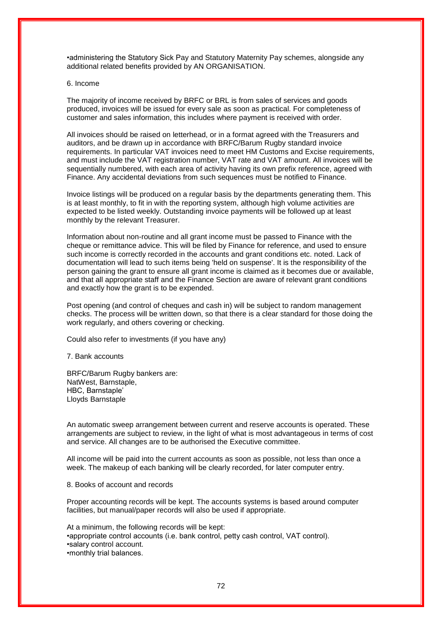•administering the Statutory Sick Pay and Statutory Maternity Pay schemes, alongside any additional related benefits provided by AN ORGANISATION.

#### 6. Income

The majority of income received by BRFC or BRL is from sales of services and goods produced, invoices will be issued for every sale as soon as practical. For completeness of customer and sales information, this includes where payment is received with order.

All invoices should be raised on letterhead, or in a format agreed with the Treasurers and auditors, and be drawn up in accordance with BRFC/Barum Rugby standard invoice requirements. In particular VAT invoices need to meet HM Customs and Excise requirements, and must include the VAT registration number, VAT rate and VAT amount. All invoices will be sequentially numbered, with each area of activity having its own prefix reference, agreed with Finance. Any accidental deviations from such sequences must be notified to Finance.

Invoice listings will be produced on a regular basis by the departments generating them. This is at least monthly, to fit in with the reporting system, although high volume activities are expected to be listed weekly. Outstanding invoice payments will be followed up at least monthly by the relevant Treasurer.

Information about non-routine and all grant income must be passed to Finance with the cheque or remittance advice. This will be filed by Finance for reference, and used to ensure such income is correctly recorded in the accounts and grant conditions etc. noted. Lack of documentation will lead to such items being 'held on suspense'. It is the responsibility of the person gaining the grant to ensure all grant income is claimed as it becomes due or available, and that all appropriate staff and the Finance Section are aware of relevant grant conditions and exactly how the grant is to be expended.

Post opening (and control of cheques and cash in) will be subject to random management checks. The process will be written down, so that there is a clear standard for those doing the work regularly, and others covering or checking.

Could also refer to investments (if you have any)

7. Bank accounts

BRFC/Barum Rugby bankers are: NatWest, Barnstaple, HBC, Barnstaple' Lloyds Barnstaple

An automatic sweep arrangement between current and reserve accounts is operated. These arrangements are subject to review, in the light of what is most advantageous in terms of cost and service. All changes are to be authorised the Executive committee.

All income will be paid into the current accounts as soon as possible, not less than once a week. The makeup of each banking will be clearly recorded, for later computer entry.

8. Books of account and records

Proper accounting records will be kept. The accounts systems is based around computer facilities, but manual/paper records will also be used if appropriate.

At a minimum, the following records will be kept: •appropriate control accounts (i.e. bank control, petty cash control, VAT control). •salary control account. •monthly trial balances.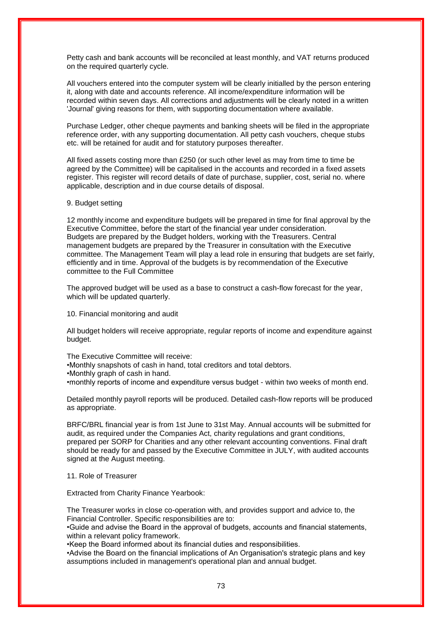Petty cash and bank accounts will be reconciled at least monthly, and VAT returns produced on the required quarterly cycle.

All vouchers entered into the computer system will be clearly initialled by the person entering it, along with date and accounts reference. All income/expenditure information will be recorded within seven days. All corrections and adjustments will be clearly noted in a written 'Journal' giving reasons for them, with supporting documentation where available.

Purchase Ledger, other cheque payments and banking sheets will be filed in the appropriate reference order, with any supporting documentation. All petty cash vouchers, cheque stubs etc. will be retained for audit and for statutory purposes thereafter.

All fixed assets costing more than £250 (or such other level as may from time to time be agreed by the Committee) will be capitalised in the accounts and recorded in a fixed assets register. This register will record details of date of purchase, supplier, cost, serial no. where applicable, description and in due course details of disposal.

## 9. Budget setting

12 monthly income and expenditure budgets will be prepared in time for final approval by the Executive Committee, before the start of the financial year under consideration. Budgets are prepared by the Budget holders, working with the Treasurers. Central management budgets are prepared by the Treasurer in consultation with the Executive committee. The Management Team will play a lead role in ensuring that budgets are set fairly, efficiently and in time. Approval of the budgets is by recommendation of the Executive committee to the Full Committee

The approved budget will be used as a base to construct a cash-flow forecast for the year, which will be updated quarterly.

10. Financial monitoring and audit

All budget holders will receive appropriate, regular reports of income and expenditure against budget.

The Executive Committee will receive:

•Monthly snapshots of cash in hand, total creditors and total debtors.

•Monthly graph of cash in hand.

•monthly reports of income and expenditure versus budget - within two weeks of month end.

Detailed monthly payroll reports will be produced. Detailed cash-flow reports will be produced as appropriate.

BRFC/BRL financial year is from 1st June to 31st May. Annual accounts will be submitted for audit, as required under the Companies Act, charity regulations and grant conditions, prepared per SORP for Charities and any other relevant accounting conventions. Final draft should be ready for and passed by the Executive Committee in JULY, with audited accounts signed at the August meeting.

11. Role of Treasurer

Extracted from Charity Finance Yearbook:

The Treasurer works in close co-operation with, and provides support and advice to, the Financial Controller. Specific responsibilities are to:

•Guide and advise the Board in the approval of budgets, accounts and financial statements, within a relevant policy framework.

•Keep the Board informed about its financial duties and responsibilities.

•Advise the Board on the financial implications of An Organisation's strategic plans and key assumptions included in management's operational plan and annual budget.